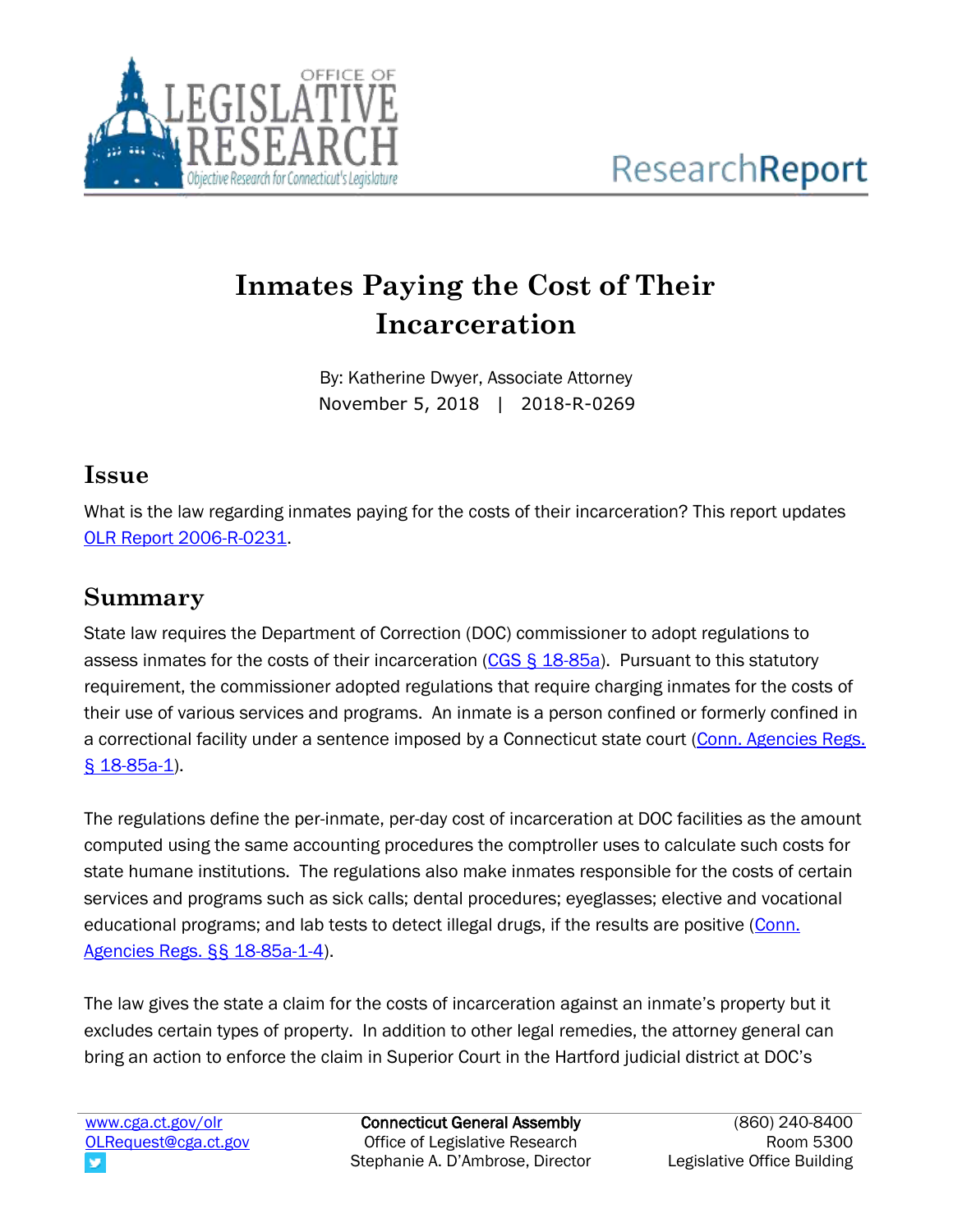

# **Inmates Paying the Cost of Their Incarceration**

By: Katherine Dwyer, Associate Attorney November 5, 2018 | 2018-R-0269

### **Issue**

What is the law regarding inmates paying for the costs of their incarceration? This report updates [OLR Report 2006-R-0231.](https://www.cga.ct.gov/2006/rpt/2006-R-0231.htm)

## **Summary**

State law requires the Department of Correction (DOC) commissioner to adopt regulations to assess inmates for the costs of their incarceration [\(CGS § 18-85a\)](https://www.cga.ct.gov/current/pub/chap_325.htm#sec_18-85a). Pursuant to this statutory requirement, the commissioner adopted regulations that require charging inmates for the costs of their use of various services and programs. An inmate is a person confined or formerly confined in a correctional facility under a sentence imposed by a Connecticut state court (Conn. Agencies Regs. § [18-85a-1\)](https://eregulations.ct.gov/eRegsPortal/Browse/RCSA/%7BB52B9314-1012-4F27-B384-B68C7AE64B46%7D).

The regulations define the per-inmate, per-day cost of incarceration at DOC facilities as the amount computed using the same accounting procedures the comptroller uses to calculate such costs for state humane institutions. The regulations also make inmates responsible for the costs of certain services and programs such as sick calls; dental procedures; eyeglasses; elective and vocational educational programs; and lab tests to detect illegal drugs, if the results are positive [\(Conn.](https://eregulations.ct.gov/eRegsPortal/Browse/RCSA/%7BB52B9314-1012-4F27-B384-B68C7AE64B46%7D)  [Agencies Regs. §§ 18-85a-1-4\)](https://eregulations.ct.gov/eRegsPortal/Browse/RCSA/%7BB52B9314-1012-4F27-B384-B68C7AE64B46%7D).

The law gives the state a claim for the costs of incarceration against an inmate's property but it excludes certain types of property. In addition to other legal remedies, the attorney general can bring an action to enforce the claim in Superior Court in the Hartford judicial district at DOC's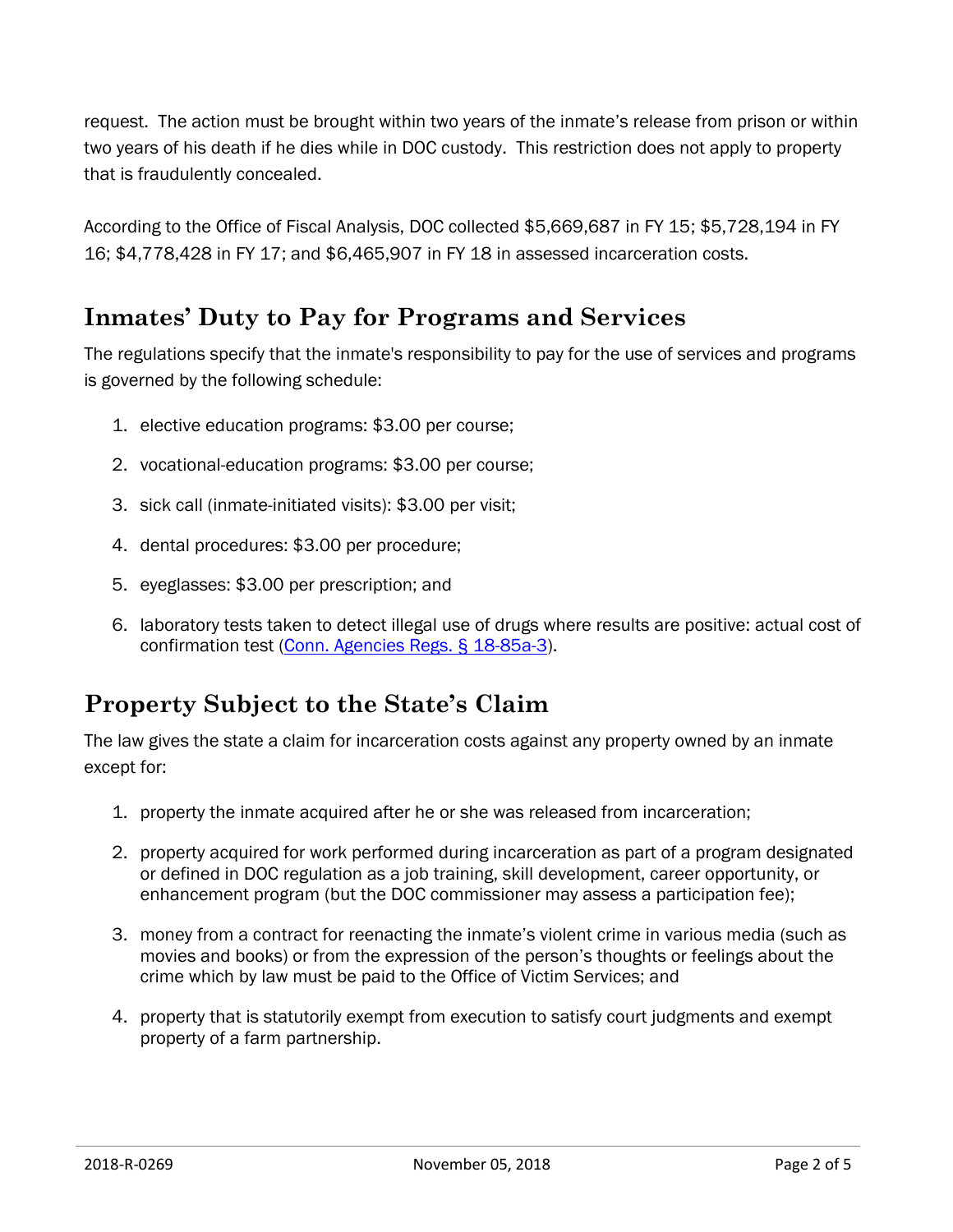request. The action must be brought within two years of the inmate's release from prison or within two years of his death if he dies while in DOC custody. This restriction does not apply to property that is fraudulently concealed.

According to the Office of Fiscal Analysis, DOC collected \$5,669,687 in FY 15; \$5,728,194 in FY 16; \$4,778,428 in FY 17; and \$6,465,907 in FY 18 in assessed incarceration costs.

## **Inmates' Duty to Pay for Programs and Services**

The regulations specify that the inmate's responsibility to pay for the use of services and programs is governed by the following schedule:

- 1. elective education programs: \$3.00 per course;
- 2. vocational-education programs: \$3.00 per course;
- 3. sick call (inmate-initiated visits): \$3.00 per visit;
- 4. dental procedures: \$3.00 per procedure;
- 5. eyeglasses: \$3.00 per prescription; and
- 6. laboratory tests taken to detect illegal use of drugs where results are positive: actual cost of confirmation test (Conn. Agencies [Regs. § 18-85a-3\)](https://eregulations.ct.gov/eRegsPortal/Browse/RCSA/%7BB52B9314-1012-4F27-B384-B68C7AE64B46%7D).

## **Property Subject to the State's Claim**

The law gives the state a claim for incarceration costs against any property owned by an inmate except for:

- 1. property the inmate acquired after he or she was released from incarceration;
- 2. property acquired for work performed during incarceration as part of a program designated or defined in DOC regulation as a job training, skill development, career opportunity, or enhancement program (but the DOC commissioner may assess a participation fee);
- 3. money from a contract for reenacting the inmate's violent crime in various media (such as movies and books) or from the expression of the person's thoughts or feelings about the crime which by law must be paid to the Office of Victim Services; and
- 4. property that is statutorily exempt from execution to satisfy court judgments and exempt property of a farm partnership.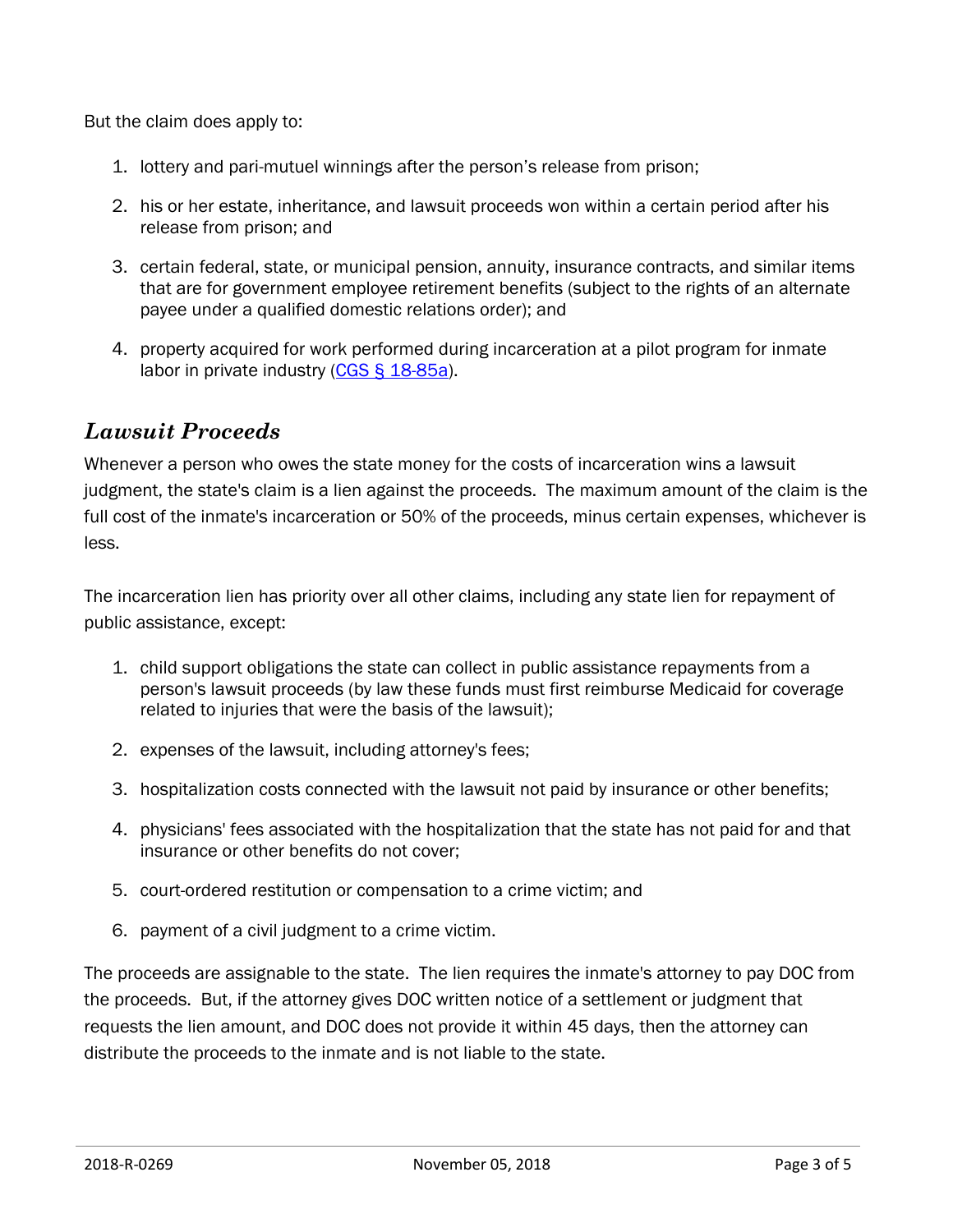But the claim does apply to:

- 1. lottery and pari-mutuel winnings after the person's release from prison;
- 2. his or her estate, inheritance, and lawsuit proceeds won within a certain period after his release from prison; and
- 3. certain federal, state, or municipal pension, annuity, insurance contracts, and similar items that are for government employee retirement benefits (subject to the rights of an alternate payee under a qualified domestic relations order); and
- 4. property acquired for work performed during incarceration at a pilot program for inmate labor in private industry [\(CGS § 18-85a\)](https://www.cga.ct.gov/current/pub/chap_325.htm#sec_18-85a).

#### *Lawsuit Proceeds*

Whenever a person who owes the state money for the costs of incarceration wins a lawsuit judgment, the state's claim is a lien against the proceeds. The maximum amount of the claim is the full cost of the inmate's incarceration or 50% of the proceeds, minus certain expenses, whichever is less.

The incarceration lien has priority over all other claims, including any state lien for repayment of public assistance, except:

- 1. child support obligations the state can collect in public assistance repayments from a person's lawsuit proceeds (by law these funds must first reimburse Medicaid for coverage related to injuries that were the basis of the lawsuit);
- 2. expenses of the lawsuit, including attorney's fees;
- 3. hospitalization costs connected with the lawsuit not paid by insurance or other benefits;
- 4. physicians' fees associated with the hospitalization that the state has not paid for and that insurance or other benefits do not cover;
- 5. court-ordered restitution or compensation to a crime victim; and
- 6. payment of a civil judgment to a crime victim.

The proceeds are assignable to the state. The lien requires the inmate's attorney to pay DOC from the proceeds. But, if the attorney gives DOC written notice of a settlement or judgment that requests the lien amount, and DOC does not provide it within 45 days, then the attorney can distribute the proceeds to the inmate and is not liable to the state.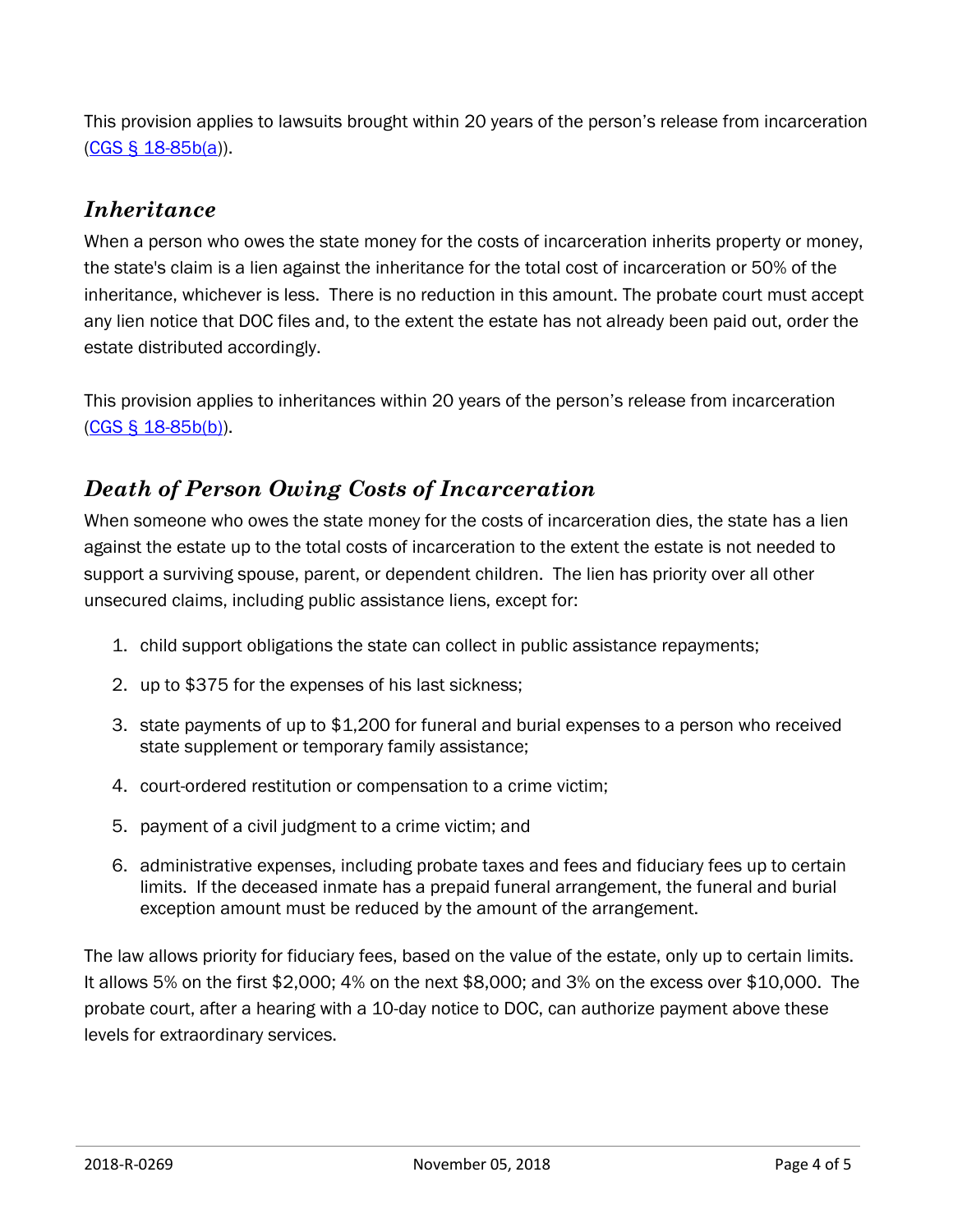This provision applies to lawsuits brought within 20 years of the person's release from incarceration [\(CGS § 18-85b\(a\)](https://www.cga.ct.gov/current/pub/chap_325.htm#sec_18-85b)).

#### *Inheritance*

When a person who owes the state money for the costs of incarceration inherits property or money, the state's claim is a lien against the inheritance for the total cost of incarceration or 50% of the inheritance, whichever is less. There is no reduction in this amount. The probate court must accept any lien notice that DOC files and, to the extent the estate has not already been paid out, order the estate distributed accordingly.

This provision applies to inheritances within 20 years of the person's release from incarceration [\(CGS § 18-85b\(b\)\)](https://www.cga.ct.gov/current/pub/chap_325.htm#sec_18-85b).

#### *Death of Person Owing Costs of Incarceration*

When someone who owes the state money for the costs of incarceration dies, the state has a lien against the estate up to the total costs of incarceration to the extent the estate is not needed to support a surviving spouse, parent, or dependent children. The lien has priority over all other unsecured claims, including public assistance liens, except for:

- 1. child support obligations the state can collect in public assistance repayments;
- 2. up to \$375 for the expenses of his last sickness;
- 3. state payments of up to \$1,200 for funeral and burial expenses to a person who received state supplement or temporary family assistance;
- 4. court-ordered restitution or compensation to a crime victim;
- 5. payment of a civil judgment to a crime victim; and
- 6. administrative expenses, including probate taxes and fees and fiduciary fees up to certain limits. If the deceased inmate has a prepaid funeral arrangement, the funeral and burial exception amount must be reduced by the amount of the arrangement.

The law allows priority for fiduciary fees, based on the value of the estate, only up to certain limits. It allows 5% on the first \$2,000; 4% on the next \$8,000; and 3% on the excess over \$10,000. The probate court, after a hearing with a 10-day notice to DOC, can authorize payment above these levels for extraordinary services.